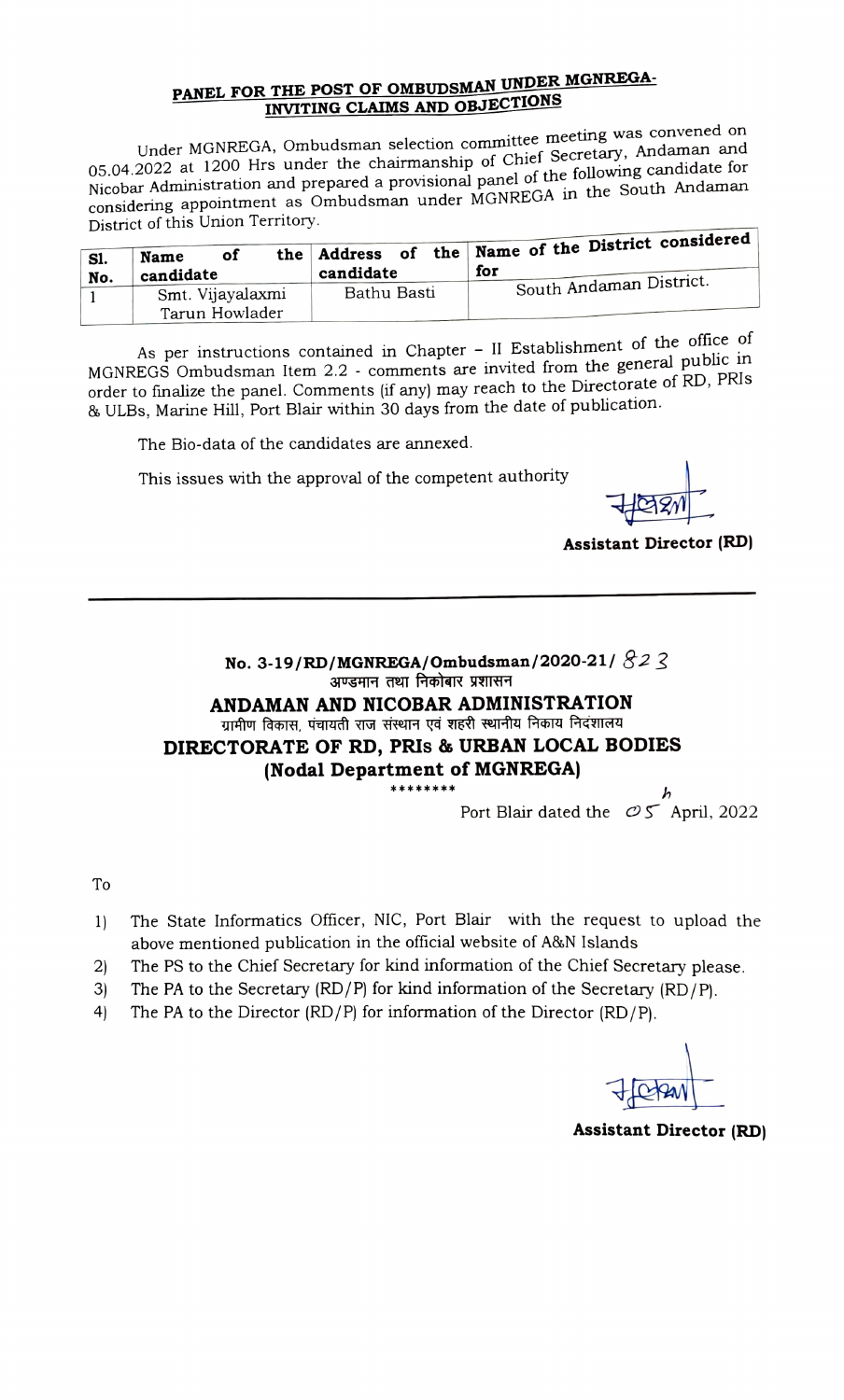## PANEL FOR THE POST OF OMBUDSMAN UNDER MGNREGA INVITING CLAIMS AND OBJECTIONS

Under MGNREGA, Ombudsman selection committee meeting was convened on 05.04.2022 at 1200 Hrs under the chairmanship of Chief Secretary, Andaman and Nicobar Administration and prepared a provisional panel of the following candidate for considering appointment as Ombudsman under MGNREGA in the South Andaman District of this Union Territory.

| S1. | of<br>Name<br>candidate | candidate   | the Address of the Name of the District considered<br>for |
|-----|-------------------------|-------------|-----------------------------------------------------------|
| No. | Smt. Vijayalaxmi        | Bathu Basti | South Andaman District.                                   |
|     | Tarun Howlader          |             |                                                           |

As per instructions contained in Chapter  $-$  II Establishment of the office of MGNREGS Ombudsman Item 2.2 - comments are invited from the general public in order to finalize the panel. Comments (if any) may reach to the Directorate of RD, PRIS & ULBs, Marine Hill, Port Blair within 30 days from the date of publication.

The Bio-data of the candidates are annexed.

This issues with the approval of the competent authority

Assistant Director (RD)

No. 3-19/RD/MGNREGA/Ombudsman/2020-21/  $82$  3<br>अण्डमान तथा निकोबार प्रशासन ANDAMAN AND NICOBAR ADMINISTRATION<br>पामीण विकास, पंचायती राज संस्थान एवं शहरी स्थानीय निकाय निदंशालय DIRECTORATE OF RD, PRIs & URBAN LOCAL BODIES (Nodal Department of MGNREGA)

Port Blair dated the  $OS$  April, 2022

To

- 1) The State Informatics Officer, NIC, Port Blair with the request to upload the above mentioned publication in the official website of A&N Islands
- 2) The PS to the Chief Secretary for kind information of the Chief Secretary please.<br>3) The PA to the Secretary (RD/P) for kind information of the Secretary (RD/P).
- The PA to the Secretary (RD/P) for kind information of the Secretary (RD/P).
- 4) The PA to the Director (RD/P) for information of the Director (RD/P).

Assistant Director (RD)